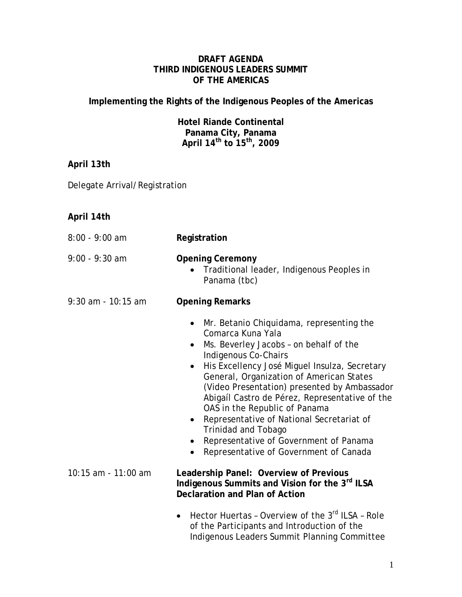## **DRAFT AGENDA THIRD INDIGENOUS LEADERS SUMMIT OF THE AMERICAS**

**Implementing the Rights of the Indigenous Peoples of the Americas**

**Hotel Riande Continental Panama City, Panama April 14th to 15th, 2009**

| April 13th                    |                                                                                                                                                                                                                                                                                                                                                                                                                                                                                                                                                                                                 |
|-------------------------------|-------------------------------------------------------------------------------------------------------------------------------------------------------------------------------------------------------------------------------------------------------------------------------------------------------------------------------------------------------------------------------------------------------------------------------------------------------------------------------------------------------------------------------------------------------------------------------------------------|
| Delegate Arrival/Registration |                                                                                                                                                                                                                                                                                                                                                                                                                                                                                                                                                                                                 |
|                               |                                                                                                                                                                                                                                                                                                                                                                                                                                                                                                                                                                                                 |
| April 14th                    |                                                                                                                                                                                                                                                                                                                                                                                                                                                                                                                                                                                                 |
| $8:00 - 9:00$ am              | Registration                                                                                                                                                                                                                                                                                                                                                                                                                                                                                                                                                                                    |
| $9:00 - 9:30$ am              | <b>Opening Ceremony</b><br>Traditional leader, Indigenous Peoples in<br>Panama (tbc)                                                                                                                                                                                                                                                                                                                                                                                                                                                                                                            |
| 9:30 am - 10:15 am            | <b>Opening Remarks</b>                                                                                                                                                                                                                                                                                                                                                                                                                                                                                                                                                                          |
|                               | Mr. Betanio Chiquidama, representing the<br>$\bullet$<br>Comarca Kuna Yala<br>Ms. Beverley Jacobs - on behalf of the<br>$\bullet$<br>Indigenous Co-Chairs<br>His Excellency José Miguel Insulza, Secretary<br>$\bullet$<br>General, Organization of American States<br>(Video Presentation) presented by Ambassador<br>Abigaíl Castro de Pérez, Representative of the<br>OAS in the Republic of Panama<br>Representative of National Secretariat of<br>$\bullet$<br><b>Trinidad and Tobago</b><br>Representative of Government of Panama<br>Representative of Government of Canada<br>$\bullet$ |
| 10:15 am - 11:00 am           | Leadership Panel: Overview of Previous<br>Indigenous Summits and Vision for the 3rd ILSA<br><b>Declaration and Plan of Action</b>                                                                                                                                                                                                                                                                                                                                                                                                                                                               |
|                               | Hector Huertas - Overview of the 3rd ILSA - Role<br>$\bullet$<br>of the Participants and Introduction of the<br>Indigenous Leaders Summit Planning Committee                                                                                                                                                                                                                                                                                                                                                                                                                                    |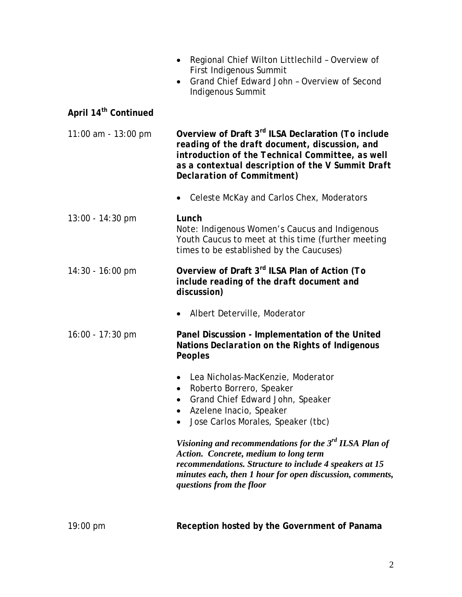|                                  | Regional Chief Wilton Littlechild - Overview of<br>$\bullet$<br>First Indigenous Summit<br>Grand Chief Edward John - Overview of Second<br>$\bullet$<br>Indigenous Summit                                                                               |
|----------------------------------|---------------------------------------------------------------------------------------------------------------------------------------------------------------------------------------------------------------------------------------------------------|
| April 14 <sup>th</sup> Continued |                                                                                                                                                                                                                                                         |
| 11:00 am - 13:00 pm              | Overview of Draft 3 <sup>rd</sup> ILSA Declaration (To include<br>reading of the draft document, discussion, and<br>introduction of the Technical Committee, as well<br>as a contextual description of the V Summit Draft<br>Declaration of Commitment) |
|                                  | Celeste McKay and Carlos Chex, Moderators                                                                                                                                                                                                               |
| 13:00 - 14:30 pm                 | Lunch<br>Note: Indigenous Women's Caucus and Indigenous<br>Youth Caucus to meet at this time (further meeting<br>times to be established by the Caucuses)                                                                                               |
| 14:30 - 16:00 pm                 | Overview of Draft 3rd ILSA Plan of Action (To<br>include reading of the draft document and<br>discussion)                                                                                                                                               |
|                                  | Albert Deterville, Moderator                                                                                                                                                                                                                            |
| $16:00 - 17:30$ pm               | Panel Discussion - Implementation of the United<br>Nations Declaration on the Rights of Indigenous<br>Peoples                                                                                                                                           |
|                                  | Lea Nicholas-MacKenzie, Moderator<br>• Roberto Borrero, Speaker<br>Grand Chief Edward John, Speaker<br>$\bullet$<br>Azelene Inacio, Speaker<br>$\bullet$<br>Jose Carlos Morales, Speaker (tbc)<br>$\bullet$                                             |
|                                  | Visioning and recommendations for the $3rd ILSA$ Plan of<br>Action. Concrete, medium to long term<br>recommendations. Structure to include 4 speakers at 15<br>minutes each, then 1 hour for open discussion, comments,<br>questions from the floor     |
|                                  |                                                                                                                                                                                                                                                         |

19:00 pm **Reception hosted by the Government of Panama**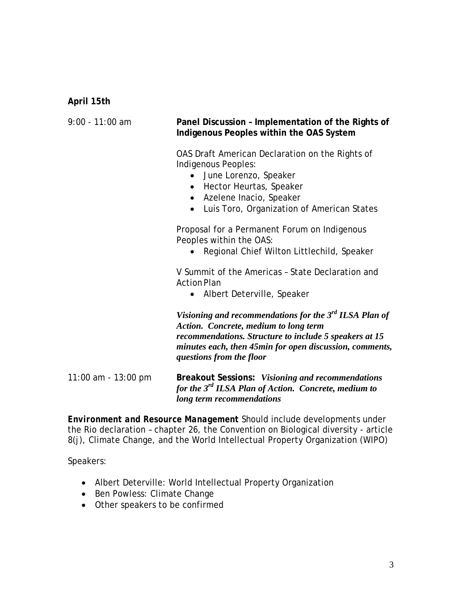## **April 15th**

| $9:00 - 11:00$ am     | Panel Discussion - Implementation of the Rights of<br>Indigenous Peoples within the OAS System                                                                                                                                                               |
|-----------------------|--------------------------------------------------------------------------------------------------------------------------------------------------------------------------------------------------------------------------------------------------------------|
|                       | OAS Draft American Declaration on the Rights of<br>Indigenous Peoples:<br>June Lorenzo, Speaker<br>Hector Heurtas, Speaker<br>Azelene Inacio, Speaker<br>$\bullet$<br>Luis Toro, Organization of American States<br>$\bullet$                                |
|                       | Proposal for a Permanent Forum on Indigenous<br>Peoples within the OAS:<br>Regional Chief Wilton Littlechild, Speaker                                                                                                                                        |
|                       | V Summit of the Americas - State Declaration and<br><b>Action Plan</b><br>Albert Deterville, Speaker                                                                                                                                                         |
|                       | Visioning and recommendations for the $3^{rd}$ ILSA Plan of<br><b>Action.</b> Concrete, medium to long term<br>recommendations. Structure to include 5 speakers at 15<br>minutes each, then 45min for open discussion, comments,<br>questions from the floor |
| 11:00 am - $13:00$ pm | Breakout Sessions: Visioning and recommendations<br>for the 3 <sup>rd</sup> ILSA Plan of Action. Concrete, medium to<br>long term recommendations                                                                                                            |

*Environment and Resource Management* Should include developments under the Rio declaration – chapter 26, the Convention on Biological diversity - article 8(j), Climate Change, and the World Intellectual Property Organization (WIPO)

Speakers:

- Albert Deterville: World Intellectual Property Organization
- Ben Powless: Climate Change
- Other speakers to be confirmed